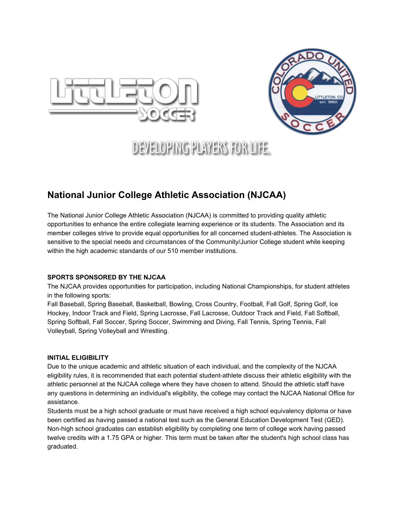



# **DEVELOPING PLAYERS FOR LIFE.**

## **National Junior College Athletic Association (NJCAA)**

The National Junior College Athletic Association (NJCAA) is committed to providing quality athletic opportunities to enhance the entire collegiate learning experience or its students. The Association and its member colleges strive to provide equal opportunities for all concerned student-athletes. The Association is sensitive to the special needs and circumstances of the Community/Junior College student while keeping within the high academic standards of our 510 member institutions.

#### **SPORTS SPONSORED BY THE NJCAA**

The NJCAA provides opportunities for participation, including National Championships, for student athletes in the following sports:

Fall Baseball, Spring Baseball, Basketball, Bowling, Cross Country, Football, Fall Golf, Spring Golf, Ice Hockey, Indoor Track and Field, Spring Lacrosse, Fall Lacrosse, Outdoor Track and Field, Fall Softball, Spring Softball, Fall Soccer, Spring Soccer, Swimming and Diving, Fall Tennis, Spring Tennis, Fall Volleyball, Spring Volleyball and Wrestling.

#### **INITIAL ELIGIBILITY**

Due to the unique academic and athletic situation of each individual, and the complexity of the NJCAA eligibility rules, it is recommended that each potential student-athlete discuss their athletic eligibility with the athletic personnel at the NJCAA college where they have chosen to attend. Should the athletic staff have any questions in determining an individual's eligibility, the college may contact the NJCAA National Office for assistance.

Students must be a high school graduate or must have received a high school equivalency diploma or have been certified as having passed a national test such as the General Education Development Test (GED). Non-high school graduates can establish eligibility by completing one term of college work having passed twelve credits with a 1.75 GPA or higher. This term must be taken after the student's high school class has graduated.